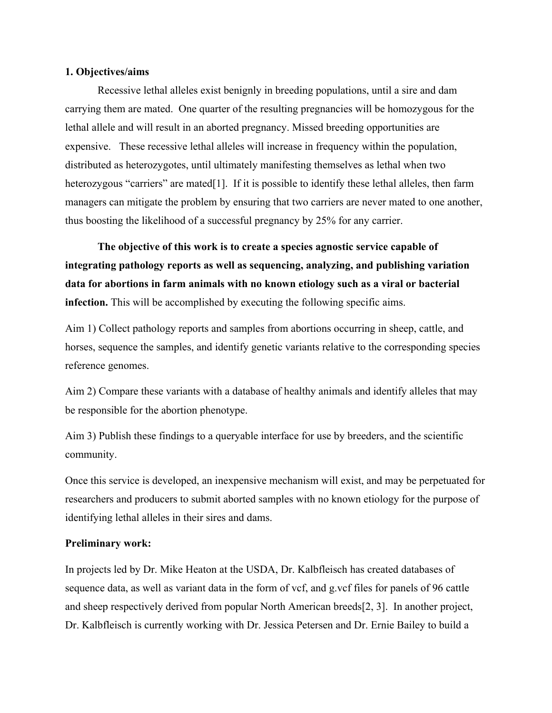# **1. Objectives/aims**

Recessive lethal alleles exist benignly in breeding populations, until a sire and dam carrying them are mated. One quarter of the resulting pregnancies will be homozygous for the lethal allele and will result in an aborted pregnancy. Missed breeding opportunities are expensive. These recessive lethal alleles will increase in frequency within the population, distributed as heterozygotes, until ultimately manifesting themselves as lethal when two heterozygous "carriers" are mated [1]. If it is possible to identify these lethal alleles, then farm managers can mitigate the problem by ensuring that two carriers are never mated to one another, thus boosting the likelihood of a successful pregnancy by 25% for any carrier.

**The objective of this work is to create a species agnostic service capable of integrating pathology reports as well as sequencing, analyzing, and publishing variation data for abortions in farm animals with no known etiology such as a viral or bacterial infection.** This will be accomplished by executing the following specific aims.

Aim 1) Collect pathology reports and samples from abortions occurring in sheep, cattle, and horses, sequence the samples, and identify genetic variants relative to the corresponding species reference genomes.

Aim 2) Compare these variants with a database of healthy animals and identify alleles that may be responsible for the abortion phenotype.

Aim 3) Publish these findings to a queryable interface for use by breeders, and the scientific community.

Once this service is developed, an inexpensive mechanism will exist, and may be perpetuated for researchers and producers to submit aborted samples with no known etiology for the purpose of identifying lethal alleles in their sires and dams.

#### **Preliminary work:**

In projects led by Dr. Mike Heaton at the USDA, Dr. Kalbfleisch has created databases of sequence data, as well as variant data in the form of vcf, and g.vcf files for panels of 96 cattle and sheep respectively derived from popular North American breeds[2, 3]. In another project, Dr. Kalbfleisch is currently working with Dr. Jessica Petersen and Dr. Ernie Bailey to build a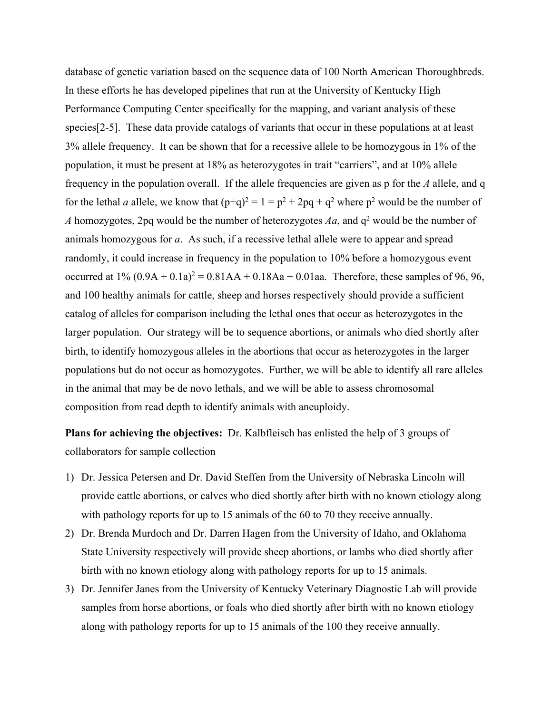database of genetic variation based on the sequence data of 100 North American Thoroughbreds. In these efforts he has developed pipelines that run at the University of Kentucky High Performance Computing Center specifically for the mapping, and variant analysis of these species[2-5]. These data provide catalogs of variants that occur in these populations at at least 3% allele frequency. It can be shown that for a recessive allele to be homozygous in 1% of the population, it must be present at 18% as heterozygotes in trait "carriers", and at 10% allele frequency in the population overall. If the allele frequencies are given as p for the *A* allele, and q for the lethal *a* allele, we know that  $(p+q)^2 = 1 = p^2 + 2pq + q^2$  where  $p^2$  would be the number of *A* homozygotes, 2pq would be the number of heterozygotes  $Aa$ , and  $q^2$  would be the number of animals homozygous for *a*. As such, if a recessive lethal allele were to appear and spread randomly, it could increase in frequency in the population to 10% before a homozygous event occurred at  $1\% (0.9A + 0.1a)^2 = 0.81AA + 0.18Aa + 0.01aa$ . Therefore, these samples of 96, 96, and 100 healthy animals for cattle, sheep and horses respectively should provide a sufficient catalog of alleles for comparison including the lethal ones that occur as heterozygotes in the larger population. Our strategy will be to sequence abortions, or animals who died shortly after birth, to identify homozygous alleles in the abortions that occur as heterozygotes in the larger populations but do not occur as homozygotes. Further, we will be able to identify all rare alleles in the animal that may be de novo lethals, and we will be able to assess chromosomal composition from read depth to identify animals with aneuploidy.

**Plans for achieving the objectives:** Dr. Kalbfleisch has enlisted the help of 3 groups of collaborators for sample collection

- 1) Dr. Jessica Petersen and Dr. David Steffen from the University of Nebraska Lincoln will provide cattle abortions, or calves who died shortly after birth with no known etiology along with pathology reports for up to 15 animals of the 60 to 70 they receive annually.
- 2) Dr. Brenda Murdoch and Dr. Darren Hagen from the University of Idaho, and Oklahoma State University respectively will provide sheep abortions, or lambs who died shortly after birth with no known etiology along with pathology reports for up to 15 animals.
- 3) Dr. Jennifer Janes from the University of Kentucky Veterinary Diagnostic Lab will provide samples from horse abortions, or foals who died shortly after birth with no known etiology along with pathology reports for up to 15 animals of the 100 they receive annually.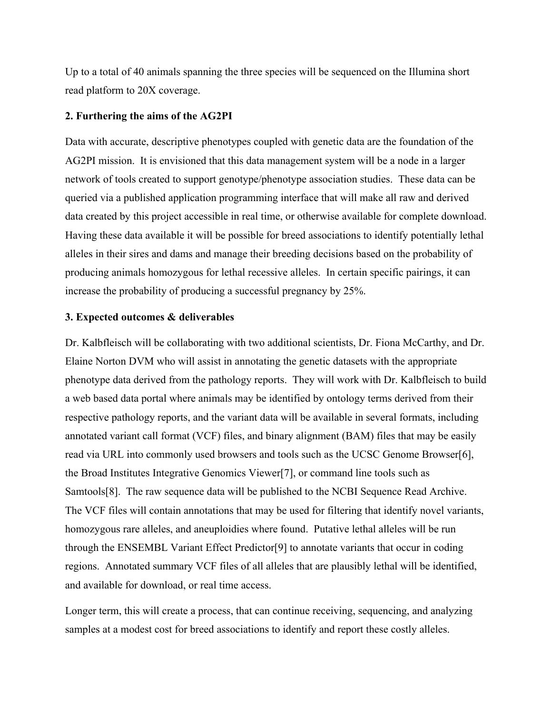Up to a total of 40 animals spanning the three species will be sequenced on the Illumina short read platform to 20X coverage.

# **2. Furthering the aims of the AG2PI**

Data with accurate, descriptive phenotypes coupled with genetic data are the foundation of the AG2PI mission. It is envisioned that this data management system will be a node in a larger network of tools created to support genotype/phenotype association studies. These data can be queried via a published application programming interface that will make all raw and derived data created by this project accessible in real time, or otherwise available for complete download. Having these data available it will be possible for breed associations to identify potentially lethal alleles in their sires and dams and manage their breeding decisions based on the probability of producing animals homozygous for lethal recessive alleles. In certain specific pairings, it can increase the probability of producing a successful pregnancy by 25%.

#### **3. Expected outcomes & deliverables**

Dr. Kalbfleisch will be collaborating with two additional scientists, Dr. Fiona McCarthy, and Dr. Elaine Norton DVM who will assist in annotating the genetic datasets with the appropriate phenotype data derived from the pathology reports. They will work with Dr. Kalbfleisch to build a web based data portal where animals may be identified by ontology terms derived from their respective pathology reports, and the variant data will be available in several formats, including annotated variant call format (VCF) files, and binary alignment (BAM) files that may be easily read via URL into commonly used browsers and tools such as the UCSC Genome Browser[6], the Broad Institutes Integrative Genomics Viewer[7], or command line tools such as Samtools[8]. The raw sequence data will be published to the NCBI Sequence Read Archive. The VCF files will contain annotations that may be used for filtering that identify novel variants, homozygous rare alleles, and aneuploidies where found. Putative lethal alleles will be run through the ENSEMBL Variant Effect Predictor[9] to annotate variants that occur in coding regions. Annotated summary VCF files of all alleles that are plausibly lethal will be identified, and available for download, or real time access.

Longer term, this will create a process, that can continue receiving, sequencing, and analyzing samples at a modest cost for breed associations to identify and report these costly alleles.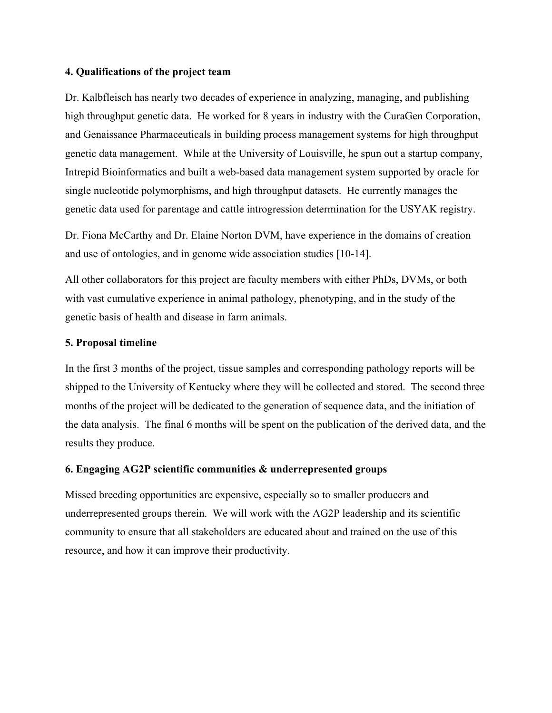# **4. Qualifications of the project team**

Dr. Kalbfleisch has nearly two decades of experience in analyzing, managing, and publishing high throughput genetic data. He worked for 8 years in industry with the CuraGen Corporation, and Genaissance Pharmaceuticals in building process management systems for high throughput genetic data management. While at the University of Louisville, he spun out a startup company, Intrepid Bioinformatics and built a web-based data management system supported by oracle for single nucleotide polymorphisms, and high throughput datasets. He currently manages the genetic data used for parentage and cattle introgression determination for the USYAK registry.

Dr. Fiona McCarthy and Dr. Elaine Norton DVM, have experience in the domains of creation and use of ontologies, and in genome wide association studies [10-14].

All other collaborators for this project are faculty members with either PhDs, DVMs, or both with vast cumulative experience in animal pathology, phenotyping, and in the study of the genetic basis of health and disease in farm animals.

### **5. Proposal timeline**

In the first 3 months of the project, tissue samples and corresponding pathology reports will be shipped to the University of Kentucky where they will be collected and stored. The second three months of the project will be dedicated to the generation of sequence data, and the initiation of the data analysis. The final 6 months will be spent on the publication of the derived data, and the results they produce.

### **6. Engaging AG2P scientific communities & underrepresented groups**

Missed breeding opportunities are expensive, especially so to smaller producers and underrepresented groups therein. We will work with the AG2P leadership and its scientific community to ensure that all stakeholders are educated about and trained on the use of this resource, and how it can improve their productivity.